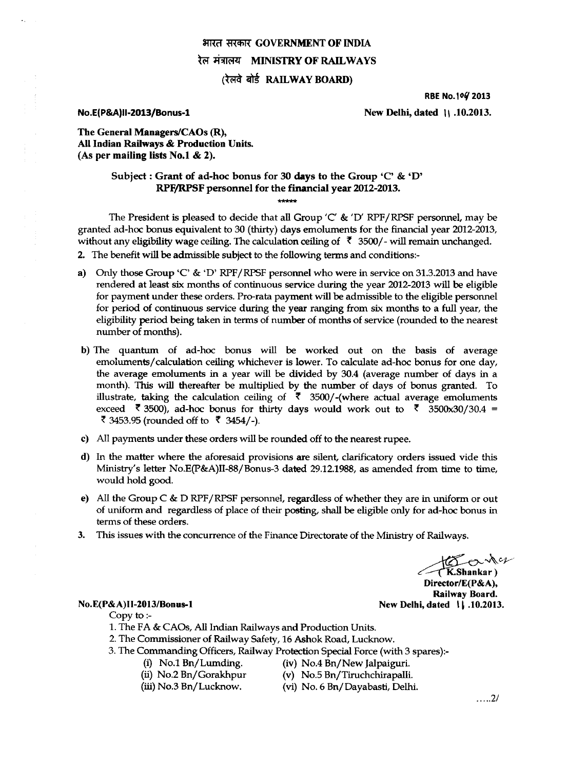# **भारत सरकार GOVERNMENT OF INDIA** रेल मंत्रालय **MINISTRY OF RAILWAYS**

## **(रेलवे बोर्ड RAILWAY BOARD)**

#### **RBE** No.log **2013**

**No.E(P&A)II-2013/Bonus-1 New Delhi, dated 11 .10.2013. New Delhi**, dated 11 .10.2013.

**The General Managers/CAOs (R), All Indian Railways & Production Units. (As per mailing lists No.! & 2).** 

## **Subject : Grant of ad-hoc bonus for 30 days to the Group 'C' & 'D' RPF/RPSF personnel for the financial year 2012-2013.**

**\*\*\*\*\*** 

The President is pleased to decide that all Group  $\langle C \& \langle D' RPF/RPSF \rangle$  personnel, may be granted ad-hoc bonus equivalent to 30 (thirty) days emoluments for the financial year 2012-2013, without any eligibility wage ceiling. The calculation ceiling of  $\bar{\tau}$  3500/- will remain unchanged. **2.** The benefit will be admissible subject to the following terms and conditions:-

- a) Only those Group 'C' & 'D' RPF/RPSF personnel who were in service on 31.3.2013 and have rendered at least six months of continuous service during the year 2012-2013 will be eligible for payment under these orders. Pro-rata payment will be admissible to the eligible personnel for period of continuous service during the year ranging from six months to a full year, the eligibility period being taken in terms of **number** of months of service (rounded to the nearest number of months).
- b) The quantum of ad-hoc bonus will be worked out on the basis of average emoluments/calculation ceiling whichever is lower. To calculate ad-hoc bonus for one day, the average emoluments in a year will be divided by 30.4 (average number of days in a month). This will thereafter be multiplied by the number of days of bonus granted. To illustrate, taking the calculation ceiling of  $\bar{\zeta}$  3500/-(where actual average emoluments exceed  $\bar{\phantom{1}}$  3500), ad-hoc bonus for thirty days would work out to  $\bar{\phantom{1}}$  3500x30/30.4 = ₹ 3453.95 (rounded off to ₹ 3454/-).
- **c) All** payments under these orders will be rounded off to the nearest rupee.
- d) In the matter where the aforesaid provisions are silent, clarificatory orders issued vide this Ministry's letter No.E(P&A)II-88/Bonus-3 dated 29.12.1988, as amended from time to time, would hold good.
- e) All the Group C & D RPF/RPSF personnel, regardless of whether they are in uniform or out of uniform and regardless of place of their posting, shall be eligible only for ad-hoc bonus in terms of these orders.
- 3. This issues with the concurrence of the Finance Directorate of the Ministry of Railways.

 $k\infty$  $(K.$ Shankar) **Director/E(P&A), Railway Board. No. E(P& A)II-2013/Bonus-1** New Delhi, dated 1, 10.2013.

### Copy to :-

- 1. The FA & CAOs, All Indian Railways and Production Units.
- 2. The Commissioner of Railway Safety, 16 Ashok Road, Lucknow.
- 3. The Commanding Officers, Railway Protection Special Force (with 3 spares):-
	-
	- (i) No.1 Bn/Lumding. (iv) No.4 Bn/New Jalpaiguri.<br>
	(ii) No.2 Bn/Gorakhpur (v) No.5 Bn/Tiruchchirapalli
	- (ii) No.2 Bn/Gorakhpur (v) No.5 Bn/Tiruchchirapalli.<br>(iii) No.3 Bn/Lucknow. (vi) No. 6 Bn/Dayabasti, Delh (vi) No. 6 Bn/Dayabasti, Delhi.

 $\ldots$  .2/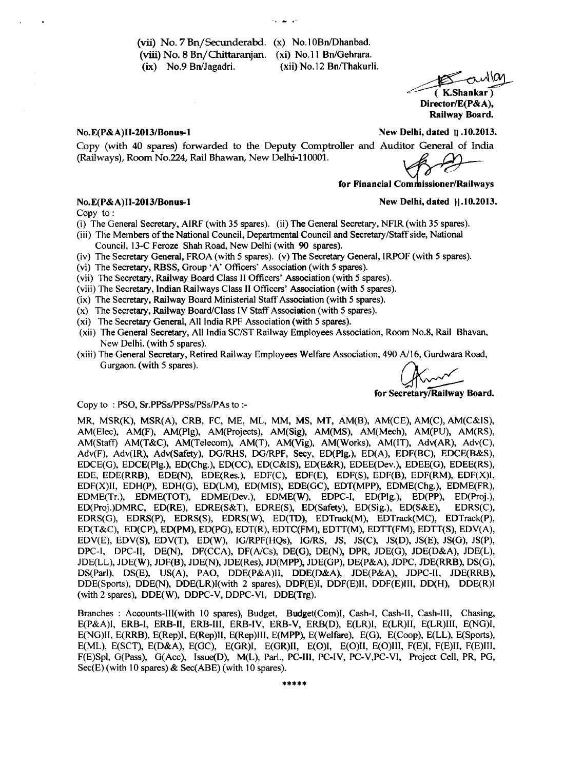(vii) No. 7 Bn/Secunderabd. (x) No.10Bn/Dhanbad. **(viii) No. 8** Bn/Chittaranjan. (xi) No.11 Bn/Gehrara. (ix) No.9 Bn/Jagadri. (xii) No.12 Bn/Thakurli.

owllag ( K.Shankar ) Director/E(P&A),

Railway Board.

**No.E(P&A)II-2013/Bonus-1** 

Copy (with 40 spares) forwarded to the Deputy Comptroller and Auditor General of India (Railways), Room No.224, Rail Bhawan, New Delhi-110001.

New Delhi, dated 11 .10.2013.

**for Financial Com issioner/Railways** 

### No.E(P&A)II-2013/Bonus-1 **New Delhi, dated 11.10.2013.**

Copy to :

- (i) The General Secretary, AIRF (with 35 spares). (ii) **The** General Secretary, NFIR (with 35 spares).
- (iii) The Members of the National Council, Departmental Council and Secretary/Staff side, National
	- Council, 13-C Feroze Shah Road, New Delhi (with 90 spares).
- (iv) The Secretary General, FROA (with 5 spares). (v) The Secretary General, IRPOF (with 5 spares).
- (vi) The Secretary, RBSS, Group 'A' Officers' Association (with 5 spares).
- (vii) The Secretary, Railway Board Class II Officers' Association (with 5 spares).
- (viii) The Secretary, Indian Railways Class II Officers' Association (with 5 spares).
- (ix) The Secretary, Railway Board Ministerial Staff Association (with 5 spares).
- (x) The Secretary, Railway Board/Class IV Staff Association (with 5 spares).
- (xi) The Secretary General, All India RPF Association (with 5 spares).
- (xii) The General Secretary, All India SC/ST Railway Employees Association, Room No.8, Rail Bhavan, New Delhi. (with 5 spares).
- (xiii) The General Secretary, Retired Railway Employees Welfare Association, 490 A/16, Gurdwara Road, Gurgaon. (with 5 spares).

**for Secretary/Railway Board.** 

#### Copy to : PSO, Sr.PPSs/PPSs/PSs/PAs to :-

MR, MSR(K), MSR(A), CRB, FC, ME, ML, MM, MS, MT, AM(B), AM(CE), AM(C), AM(C&IS), AM(Elec), AM(F), AM(Plg), AM(Projects), AM(Sig), AM(MS), AM(Mech), AM(PU), AM(RS), AM(Staff) AM(T&C), AM(Telecom), AM(T), AM(Vig), AM(Works), AM(IT), Adv(AR), Adv(C), Adv(F), Adv(IR), Adv(Safety), DG/RHS, DG/RPF, Secy, ED(Plg.), ED(A), EDF(BC), EDCE(B&S), EDCE(G), EDCE(Plg.), ED(Chg.), ED(CC), ED(C&IS), ED(E&R), EDEE(Dev.), EDEE(G), EDEE(RS), EDE, EDE(RRB), EDE(N), EDE(Res.), EDF(C), EDF(E), EDF(S), EDF(B), EDF(RM), EDF(X)I, EDF(X)II, EDH(P), EDH(G), ED(LM), ED(MIS), EDE(GC), EDT(MPP), EDME(Chg.), EDME(FR), EDME(Tr.), EDME(TOT), EDME(Dev.), EDME(W), EDPC-I, ED(Plg.), ED(PP), ED(Proj.), ED(Proj.)DMRC, ED(RE), EDRE(S&T), EDRE(S), ED(Safety), ED(Sig.), ED(S&E), EDRS(C), EDRS(G), EDRS(P), EDRS(S), EDRS(W), ED(TD), EDTrack(M), EDTrack(MC), EDTrack(P), ED(T&C), ED(CP), ED(PM), ED(PG), EDT(R), EDTC(FM), EDTT(M), EDTT(FM), EDTT(S), EDV(A), EDV(E), EDV(S), EDV(T), ED(W), IG/RPF(HQs), IG/RS, JS, JS(C), JS(D), JS(E), JS(G), JS(P), DPC-1, DPC-H, DE(N), DF(CCA), DF(A/Cs), DE(G), DE(N), DPR, JDE(G), JDE(D&A), JDE(L), JDE(LL), JDE(W), JDF(B), JDE(N), JDE(Res), JD(MPP), JDE(GP), DE(P&A), JDPC, JDE(RRB), DS(G), DS(Parl), DS(E), US(A), PAO, DDE(P&A)ll, DDE(D&A), JDE(P&A), JDPC-II, JDE(RRB), DDE(Sports), DDE(N), DDE(LR)I(with 2 spares), DDF(E)I, DDF(E)II, DDF(E)III, DD(H), DDE(R)I (with 2 spares), DDE(W), DDPC-V, DDPC-VI, DDE(Trg).

Branches : Accounts-III(with 10 spares), Budget, Budget(Com)1, Cash-I, Cash-II, Cash-Ill, Chasing, E(P&A)l, ERB-I, ERB-II, ERB-III, ERB-IV, ERB-V, ERB(D), E(LR)I, E(LR)II, E(LR)III, E(NG)I, E(NG)1I, E(RRB), E(Rep)I, E(Rep)II, E(Rep)Ill, E(MPP), E(Welfare), E(G), E(Coop), E(LL), E(Sports), E(ML), E(SCT), E(D&A), E(GC), E(GR)I, E(GR)II, E(0)I, E(0)II, E(0)III, F(E)I, F(E)II, F(E)Ill, F(E)Spl, G(Pass), G(Acc), Issue(D), M(L), Parl., PC-III, PC-IV, PC-V,PC-VI, Project Cell, PR, PG, Sec(E) (with 10 spares) & Sec(ABE) (with 10 spares).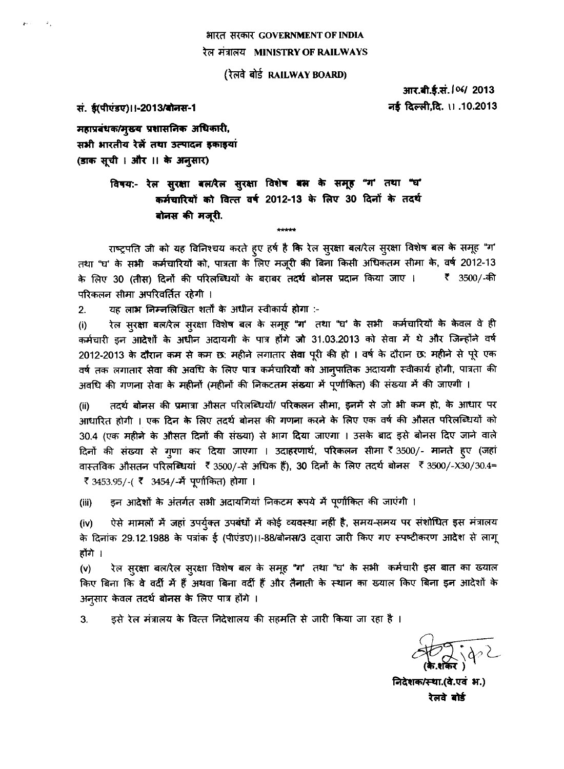## भारत सरकार GOVERNMENT OF INDIA रेल मंत्रालय MINISTRY OF RAILWAYS

(रेलवे बोर्ड RAILWAY BOARD)

आर.बी.ई.सं. / 06/ 2013 नई दिल्ली,दि. ।। .10.2013

सं. ई(पीएंडए)।।-2013/बोनस-1

 $\mathcal{L}_1$ 

महाप्रबंधक/मुख्य प्रशासनिक अधिकारी, सभी भारतीय रेलें तथा उत्पादन इकाइयां (डाक सूची । और ।। के अनुसार)

> विषय:- रेल सुरक्षा बल/रेल सुरक्षा विशेष बल्न के समूह "ग' तथा "घ' कर्मचारियों को वित्त वर्ष 2012-13 के लिए 30 दिनों के तदर्थ बोनस की मज़री.

राष्ट्रपति जी को यह विनिश्चय करते हुए हर्ष है कि रेल सुरक्षा बल/रेल सुरक्षा विशेष बल के समूह "ग' तथा "घ' के सभी कर्मचारियों को, पात्रता के लिए मजूरी की बिना किसी अधिकतम सीमा के, वर्ष 2012-13 के लिए 30 (तीस) दिनों की परिलब्धियों के बराबर तदर्थ बोनस प्रदान किया जाए । रैं 3500/-की परिकलन सीमा अपरिवर्तित रहेगी ।

\*\*\*\*\*

यह लाभ निम्नलिखित शर्तों के अधीन स्वीकार्य होगा :-2.

रेल सुरक्षा बल/रेल सुरक्षा विशेष बल के समूह "ग' तथा "घ' के सभी कर्मचारियों के केवल वे ही  $(i)$ कर्मचारी इन आदेशों के अधीन अदायगी के पात्र होंगे जो 31.03.2013 को सेवा में थे और जिन्होंने वर्ष 2012-2013 के दौरान कम से कम छ: महीने लगातार सेवा पूरी की हो । वर्ष के दौरान छ: महीने से पूरे एक वर्ष तक लगातार सेवा की अवधि के लिए पात्र कर्मचारियों को आनुपातिक अदायगी स्वीकार्य होगी, पात्रता की अवधि की गणना सेवा के महीनों (महीनों की निकटतम संख्या में पूर्णांकित) की संख्या में की जाएगी ।

तदर्थ बोनस की प्रमात्रा औसत परिलब्धियों/ परिकलन सीमा, इनमें से जो भी कम हो, के आधार पर  $(ii)$ आधारित होगी । एक दिन के लिए तदर्थ बोनस की गणना करने के लिए एक वर्ष की औसत परिलब्धियों को 30.4 (एक महीने के औसत दिनों की संख्या) से भाग दिया जाएगा । उसके बाद इसे बोनस दिए जाने वाले दिनों की संख्या से गृणा कर दिया जाएगा । उदाहरणार्थ, परिकलन सीमा रैं 3500/- मानते हुए (जहां वास्तविक औसतन परिलब्धियां ₹ 3500/-से अधिक हैं), 30 दिनों के लिए तदर्थ बोनस ₹ 3500/-X30/30.4= ₹ 3453.95/-( ₹ 3454/-में पूर्णांकित) होगा ।

इन आदेशों के अंतर्गत सभी अदायगियां निकटम रूपये में पूर्णांकित की जाएंगी ।  $(iii)$ 

ऐसे मामलों में जहां उपर्युक्त उपबंधों में कोई व्यवस्था नहीं है, समय-समय पर संशोधित इस मंत्रालय  $(iv)$ के दिनांक 29.12.1988 के पत्रांक ई (पीएंडए)।।-88/बोनस/3 दवारा जारी किए गए स्पष्टीकरण आदेश से लागू होंगे ।

रेल सुरक्षा बल/रेल सुरक्षा विशेष बल के समूह "ग' तथा "घ' के सभी कर्मचारी इस बात का ख्याल  $(v)$ किए बिना कि वे वर्दी में हैं अथवा बिना वर्दी हैं और तैनाती के स्थान का ख्याल किए बिना इन आदेशों के अन्सार केवल तदर्थ बोनस के लिए पात्र होंगे ।

इसे रेल मंत्रालय के वित्त निदेशालय की सहमति से जारी किया जा रहा है । 3.

निदेशक/स्था.(वे.एवं भ.) रेलवे बोर्ड